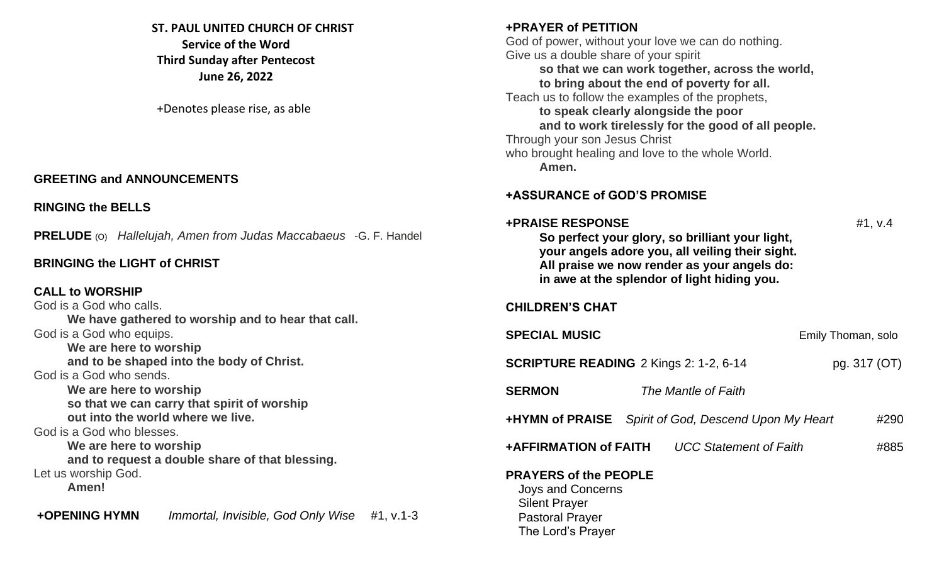**ST. PAUL UNITED CHURCH OF CHRIST Service of the Word Third Sunday after Pentecost June 26, 2022**

+Denotes please rise, as able

## **GREETING and ANNOUNCEMENTS**

## **RINGING the BELLS**

**PRELUDE** (O) *Hallelujah, Amen from Judas Maccabaeus* -G. F. Handel

# **BRINGING the LIGHT of CHRIST**

## **CALL to WORSHIP**

God is a God who calls. **We have gathered to worship and to hear that call.** God is a God who equips. **We are here to worship and to be shaped into the body of Christ.** God is a God who sends. **We are here to worship so that we can carry that spirit of worship out into the world where we live.** God is a God who blesses. **We are here to worship and to request a double share of that blessing.** Let us worship God. **Amen!**

**+OPENING HYMN** *Immortal, Invisible, God Only Wise* #1, v.1-3

**+PRAYER of PETITION** God of power, without your love we can do nothing. Give us a double share of your spirit **so that we can work together, across the world, to bring about the end of poverty for all.** Teach us to follow the examples of the prophets, **to speak clearly alongside the poor and to work tirelessly for the good of all people.** Through your son Jesus Christ who brought healing and love to the whole World. **Amen. +ASSURANCE of GOD'S PROMISE +PRAISE RESPONSE** #1, v.4

**So perfect your glory, so brilliant your light, your angels adore you, all veiling their sight. All praise we now render as your angels do: in awe at the splendor of light hiding you.**

#### **CHILDREN'S CHAT**

| <b>SPECIAL MUSIC</b>                                                                                                     |                               | Emily Thoman, solo |
|--------------------------------------------------------------------------------------------------------------------------|-------------------------------|--------------------|
| <b>SCRIPTURE READING 2 Kings 2: 1-2, 6-14</b>                                                                            |                               | pg. 317 (OT)       |
| <b>SERMON</b><br>The Mantle of Faith                                                                                     |                               |                    |
| +HYMN of PRAISE<br>Spirit of God, Descend Upon My Heart                                                                  |                               | #290               |
| +AFFIRMATION of FAITH                                                                                                    | <b>UCC</b> Statement of Faith | #885               |
| <b>PRAYERS of the PEOPLE</b><br>Joys and Concerns<br><b>Silent Prayer</b><br><b>Pastoral Prayer</b><br>The Lord's Prayer |                               |                    |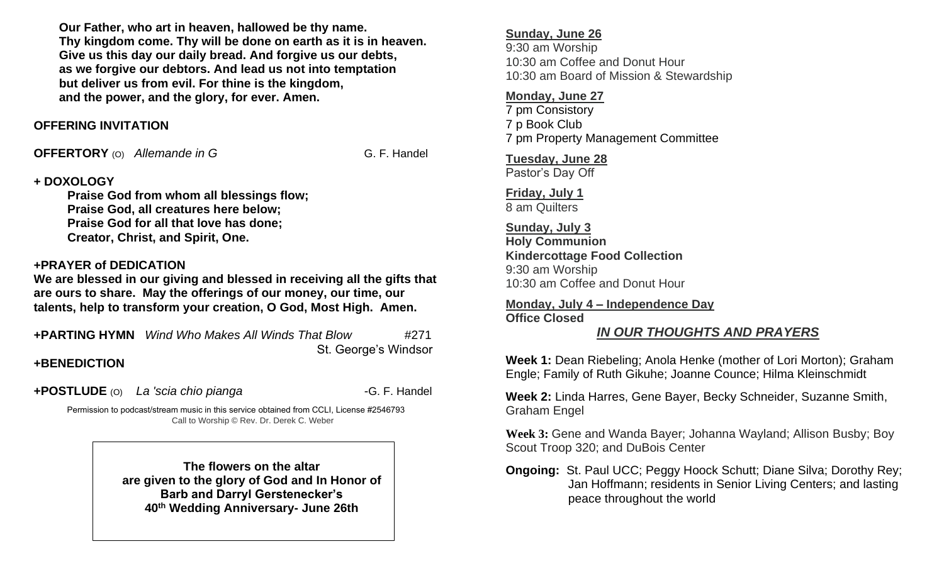**Our Father, who art in heaven, hallowed be thy name. Thy kingdom come. Thy will be done on earth as it is in heaven. Give us this day our daily bread. And forgive us our debts, as we forgive our debtors. And lead us not into temptation but deliver us from evil. For thine is the kingdom, and the power, and the glory, for ever. Amen.**

#### **OFFERING INVITATION**

**OFFERTORY** (o) Allemande in G G. F. Handel

#### **+ DOXOLOGY**

**Praise God from whom all blessings flow; Praise God, all creatures here below; Praise God for all that love has done; Creator, Christ, and Spirit, One.**

## **+PRAYER of DEDICATION**

**We are blessed in our giving and blessed in receiving all the gifts that are ours to share. May the offerings of our money, our time, our talents, help to transform your creation, O God, Most High. Amen.** 

**+PARTING HYMN** *Wind Who Makes All Winds That Blow* #271 St. George's Windsor

## **+BENEDICTION**

**+POSTLUDE** (O)*La 'scia chio pianga* -G. F. Handel

Permission to podcast/stream music in this service obtained from CCLI, License #2546793 Call to Worship © Rev. Dr. Derek C. Weber

> **The flowers on the altar are given to the glory of God and In Honor of Barb and Darryl Gerstenecker's 40th Wedding Anniversary- June 26th**

#### **Sunday, June 26**

9:30 am Worship 10:30 am Coffee and Donut Hour 10:30 am Board of Mission & Stewardship

#### **Monday, June 27**

7 pm Consistory 7 p Book Club 7 pm Property Management Committee

**Tuesday, June 28** Pastor's Day Off

**Friday, July 1** 8 am Quilters

**Sunday, July 3 Holy Communion Kindercottage Food Collection** 9:30 am Worship 10:30 am Coffee and Donut Hour

# **Monday, July 4 – Independence Day Office Closed**

## *IN OUR THOUGHTS AND PRAYERS*

**Week 1:** Dean Riebeling; Anola Henke (mother of Lori Morton); Graham Engle; Family of Ruth Gikuhe; Joanne Counce; Hilma Kleinschmidt

**Week 2:** Linda Harres, Gene Bayer, Becky Schneider, Suzanne Smith, Graham Engel

**Week 3:** Gene and Wanda Bayer; Johanna Wayland; Allison Busby; Boy Scout Troop 320; and DuBois Center

**Ongoing:** St. Paul UCC; Peggy Hoock Schutt; Diane Silva; Dorothy Rey; Jan Hoffmann; residents in Senior Living Centers; and lasting peace throughout the world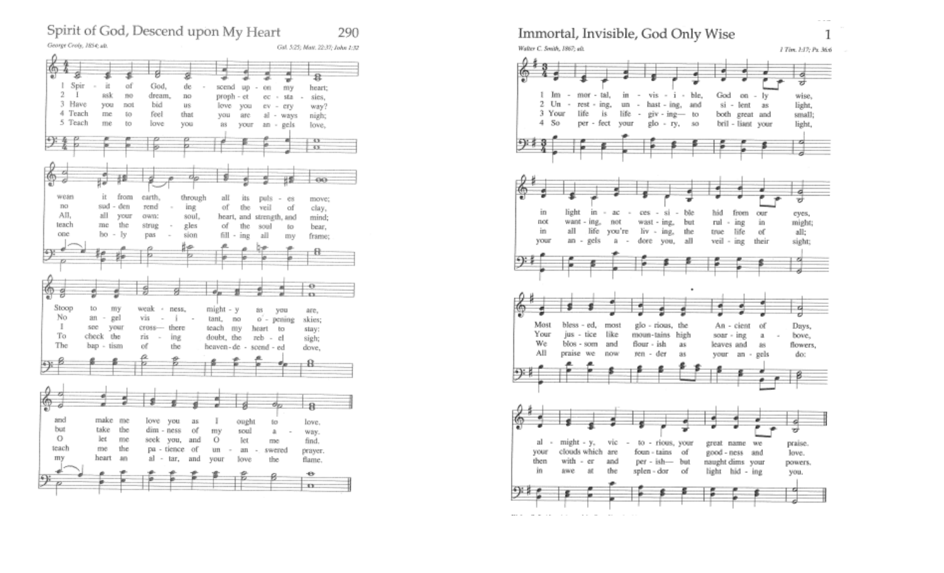